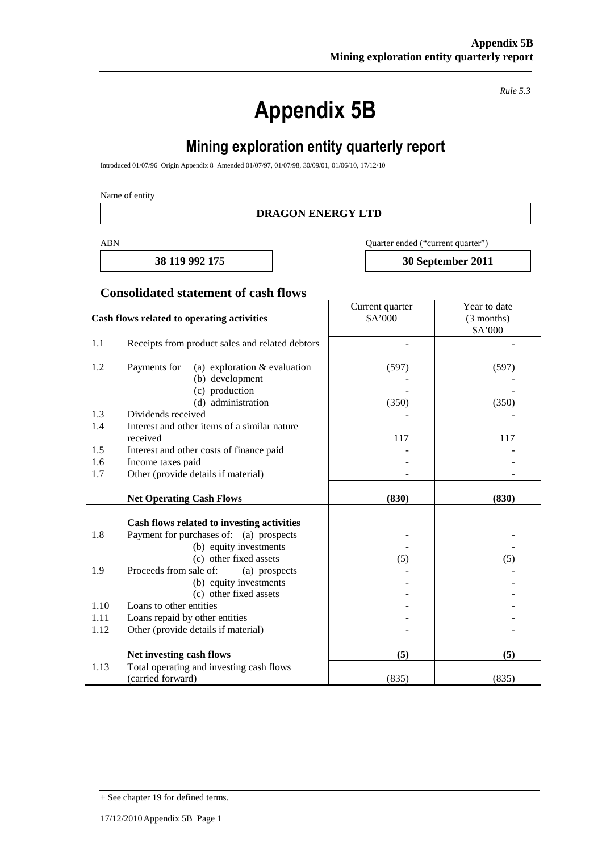# **Appendix 5B**

*Rule 5.3*

# **Mining exploration entity quarterly report**

Introduced 01/07/96 Origin Appendix 8 Amended 01/07/97, 01/07/98, 30/09/01, 01/06/10, 17/12/10

Name of entity

#### **DRAGON ENERGY LTD**

ABN Quarter ended ("current quarter")

Current quarter \$A'000

**38 119 992 175 30 September 2011**

Year to date (3 months)

#### **Consolidated statement of cash flows**

#### **Cash flows related to operating activities**

|      |                                                                                       |       | \$A'000 |
|------|---------------------------------------------------------------------------------------|-------|---------|
| 1.1  | Receipts from product sales and related debtors                                       |       |         |
| 1.2  | Payments for<br>(a) exploration $&$ evaluation                                        | (597) | (597)   |
|      | (b) development                                                                       |       |         |
|      | (c) production                                                                        |       |         |
|      | (d) administration                                                                    | (350) | (350)   |
| 1.3  | Dividends received                                                                    |       |         |
| 1.4  | Interest and other items of a similar nature                                          |       |         |
|      | received                                                                              | 117   | 117     |
| 1.5  | Interest and other costs of finance paid                                              |       |         |
| 1.6  | Income taxes paid                                                                     |       |         |
| 1.7  | Other (provide details if material)                                                   |       |         |
|      | <b>Net Operating Cash Flows</b>                                                       | (830) | (830)   |
|      |                                                                                       |       |         |
| 1.8  | Cash flows related to investing activities<br>Payment for purchases of: (a) prospects |       |         |
|      | (b) equity investments                                                                |       |         |
|      | (c) other fixed assets                                                                | (5)   | (5)     |
| 1.9  | Proceeds from sale of:<br>(a) prospects                                               |       |         |
|      | (b) equity investments                                                                |       |         |
|      | (c) other fixed assets                                                                |       |         |
| 1.10 | Loans to other entities                                                               |       |         |
| 1.11 | Loans repaid by other entities                                                        |       |         |
| 1.12 | Other (provide details if material)                                                   |       |         |
|      |                                                                                       |       |         |
|      | Net investing cash flows                                                              | (5)   | (5)     |
| 1.13 | Total operating and investing cash flows                                              |       |         |
|      | (carried forward)                                                                     | (835) | (835)   |

<sup>+</sup> See chapter 19 for defined terms.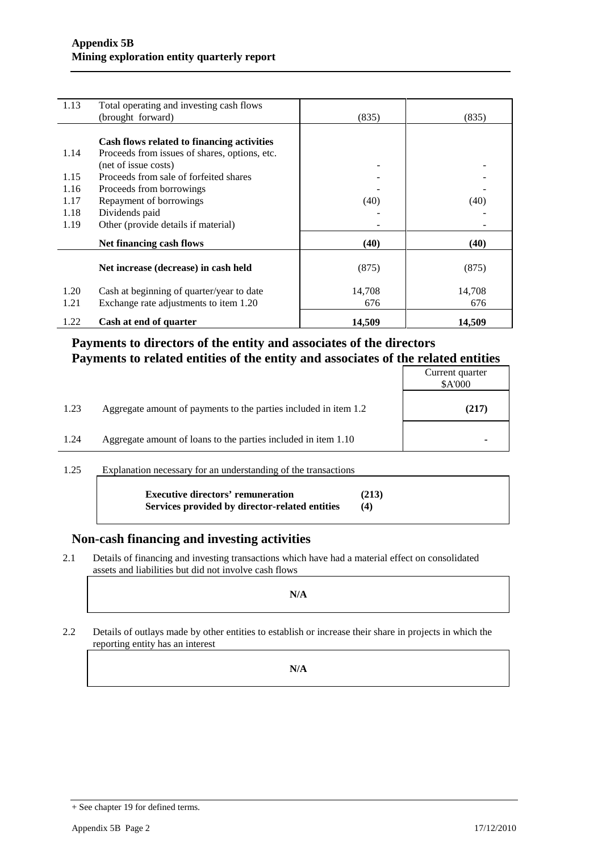| 1.13 | Total operating and investing cash flows      |        |        |
|------|-----------------------------------------------|--------|--------|
|      | (brought forward)                             | (835)  | (835)  |
|      |                                               |        |        |
|      | Cash flows related to financing activities    |        |        |
| 1.14 | Proceeds from issues of shares, options, etc. |        |        |
|      | (net of issue costs)                          |        |        |
| 1.15 | Proceeds from sale of forfeited shares        |        |        |
| 1.16 | Proceeds from borrowings                      |        |        |
| 1.17 | Repayment of borrowings                       | (40)   | (40)   |
| 1.18 | Dividends paid                                |        |        |
| 1.19 | Other (provide details if material)           |        |        |
|      | Net financing cash flows                      | (40)   | (40)   |
|      | Net increase (decrease) in cash held          | (875)  | (875)  |
| 1.20 | Cash at beginning of quarter/year to date     | 14,708 | 14,708 |
| 1.21 | Exchange rate adjustments to item 1.20        | 676    | 676    |
| 1.22 | Cash at end of quarter                        | 14,509 | 14,509 |

## **Payments to directors of the entity and associates of the directors Payments to related entities of the entity and associates of the related entities**

| Current quarter<br>\$A'000 |
|----------------------------|
| (217)                      |
|                            |
|                            |

#### 1.25 Explanation necessary for an understanding of the transactions

| <b>Executive directors' remuneration</b>       | (213) |
|------------------------------------------------|-------|
| Services provided by director-related entities | (4)   |

#### **Non-cash financing and investing activities**

2.1 Details of financing and investing transactions which have had a material effect on consolidated assets and liabilities but did not involve cash flows

**N/A**

2.2 Details of outlays made by other entities to establish or increase their share in projects in which the reporting entity has an interest

**N/A**

<sup>+</sup> See chapter 19 for defined terms.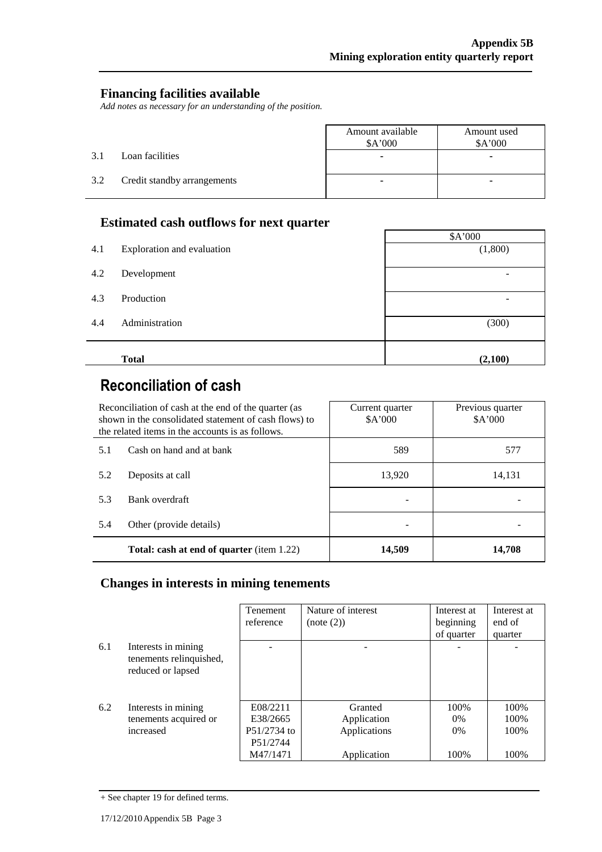#### **Financing facilities available**

*Add notes as necessary for an understanding of the position.*

|     |                             | Amount available<br>\$A'000 | Amount used<br>\$A'000 |
|-----|-----------------------------|-----------------------------|------------------------|
| 3.1 | Loan facilities             |                             | -                      |
| 3.2 | Credit standby arrangements |                             |                        |

### **Estimated cash outflows for next quarter**

|     |                            | \$A'000 |
|-----|----------------------------|---------|
| 4.1 | Exploration and evaluation | (1,800) |
| 4.2 | Development                | -       |
| 4.3 | Production                 | -       |
| 4.4 | Administration             | (300)   |
|     | <b>Total</b>               | (2,100) |

# **Reconciliation of cash**

| Reconciliation of cash at the end of the quarter (as<br>shown in the consolidated statement of cash flows) to<br>the related items in the accounts is as follows. |                                                  | Current quarter<br>A'000 | Previous quarter<br>\$A'000 |
|-------------------------------------------------------------------------------------------------------------------------------------------------------------------|--------------------------------------------------|--------------------------|-----------------------------|
| 5.1                                                                                                                                                               | Cash on hand and at bank                         | 589                      | 577                         |
| 5.2                                                                                                                                                               | Deposits at call                                 | 13,920                   | 14,131                      |
| 5.3                                                                                                                                                               | Bank overdraft                                   |                          |                             |
| 5.4                                                                                                                                                               | Other (provide details)                          |                          |                             |
|                                                                                                                                                                   | <b>Total: cash at end of quarter</b> (item 1.22) | 14,509                   | 14.708                      |

## **Changes in interests in mining tenements**

|     |                                                                     | <b>Tenement</b><br>reference | Nature of interest | Interest at | Interest at<br>end of |
|-----|---------------------------------------------------------------------|------------------------------|--------------------|-------------|-----------------------|
|     |                                                                     |                              | (note (2))         | beginning   |                       |
|     |                                                                     |                              |                    | of quarter  | quarter               |
| 6.1 | Interests in mining<br>tenements relinquished,<br>reduced or lapsed |                              |                    |             |                       |
|     |                                                                     |                              |                    |             |                       |
| 6.2 | Interests in mining                                                 | E08/2211                     | Granted            | 100\%       | 100%                  |
|     | tenements acquired or                                               | E38/2665                     | Application        | $0\%$       | 100\%                 |
|     | increased                                                           | P51/2734 to                  | Applications       | $0\%$       | 100\%                 |
|     |                                                                     | P51/2744                     |                    |             |                       |
|     |                                                                     | M47/1471                     | Application        | 100%        | 100%                  |

<sup>+</sup> See chapter 19 for defined terms.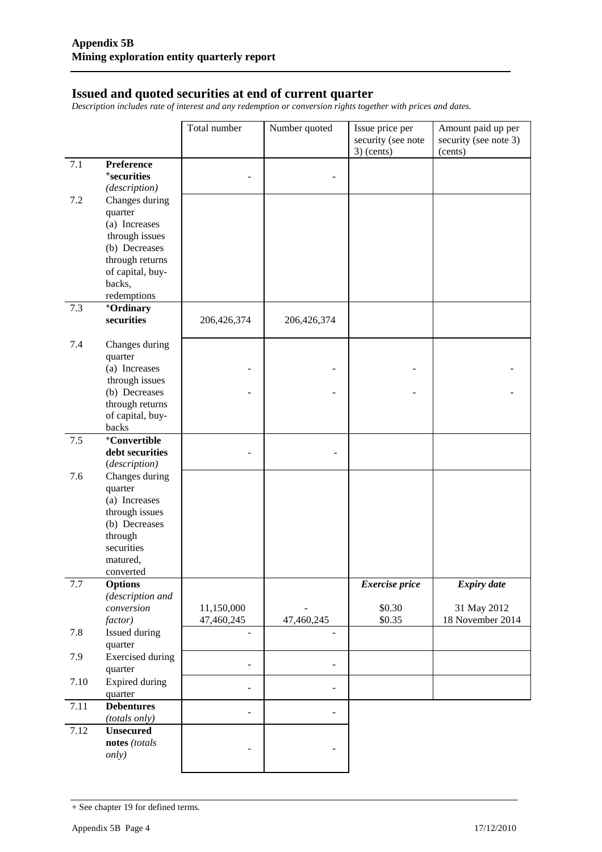#### **Issued and quoted securities at end of current quarter**

*Description includes rate of interest and any redemption or conversion rights together with prices and dates.*

|         |                                   | Total number             | Number quoted  | Issue price per<br>security (see note | Amount paid up per<br>security (see note 3) |
|---------|-----------------------------------|--------------------------|----------------|---------------------------------------|---------------------------------------------|
|         |                                   |                          |                | $3)$ (cents)                          | (cents)                                     |
| 7.1     | Preference                        |                          |                |                                       |                                             |
|         | <sup>+</sup> securities           |                          |                |                                       |                                             |
|         | (description)                     |                          |                |                                       |                                             |
| 7.2     | Changes during                    |                          |                |                                       |                                             |
|         | quarter                           |                          |                |                                       |                                             |
|         | (a) Increases                     |                          |                |                                       |                                             |
|         | through issues                    |                          |                |                                       |                                             |
|         | (b) Decreases<br>through returns  |                          |                |                                       |                                             |
|         | of capital, buy-                  |                          |                |                                       |                                             |
|         | backs,                            |                          |                |                                       |                                             |
|         | redemptions                       |                          |                |                                       |                                             |
| 7.3     | <sup>+</sup> Ordinary             |                          |                |                                       |                                             |
|         | securities                        | 206,426,374              | 206,426,374    |                                       |                                             |
|         |                                   |                          |                |                                       |                                             |
| 7.4     | Changes during                    |                          |                |                                       |                                             |
|         | quarter                           |                          |                |                                       |                                             |
|         | (a) Increases                     |                          |                |                                       |                                             |
|         | through issues                    |                          |                |                                       |                                             |
|         | (b) Decreases                     |                          |                |                                       |                                             |
|         | through returns                   |                          |                |                                       |                                             |
|         | of capital, buy-                  |                          |                |                                       |                                             |
|         | backs                             |                          |                |                                       |                                             |
| $7.5\,$ | <sup>+</sup> Convertible          |                          |                |                                       |                                             |
|         | debt securities                   |                          |                |                                       |                                             |
|         | (description)                     |                          |                |                                       |                                             |
| 7.6     | Changes during                    |                          |                |                                       |                                             |
|         | quarter                           |                          |                |                                       |                                             |
|         | (a) Increases                     |                          |                |                                       |                                             |
|         | through issues<br>(b) Decreases   |                          |                |                                       |                                             |
|         | through                           |                          |                |                                       |                                             |
|         | securities                        |                          |                |                                       |                                             |
|         | matured,                          |                          |                |                                       |                                             |
|         | converted                         |                          |                |                                       |                                             |
| $7.7\,$ | <b>Options</b>                    |                          |                | <b>Exercise</b> price                 | <b>Expiry date</b>                          |
|         | (description and                  |                          |                |                                       |                                             |
|         | conversion                        | 11,150,000               |                | \$0.30                                | 31 May 2012                                 |
|         | factor)                           | 47,460,245               | 47,460,245     | \$0.35                                | 18 November 2014                            |
| 7.8     | <b>Issued during</b>              | $\overline{\phantom{a}}$ |                |                                       |                                             |
|         | quarter                           |                          |                |                                       |                                             |
| 7.9     | <b>Exercised</b> during           |                          |                |                                       |                                             |
|         | quarter                           | $\overline{\phantom{a}}$ | $\overline{a}$ |                                       |                                             |
| 7.10    | <b>Expired during</b>             | $\blacksquare$           | $\overline{a}$ |                                       |                                             |
|         | quarter                           |                          |                |                                       |                                             |
| 7.11    | <b>Debentures</b>                 |                          |                |                                       |                                             |
|         | (totals only)                     |                          |                |                                       |                                             |
| 7.12    | <b>Unsecured</b><br>notes (totals |                          |                |                                       |                                             |
|         | only)                             |                          |                |                                       |                                             |
|         |                                   |                          |                |                                       |                                             |

<sup>+</sup> See chapter 19 for defined terms.